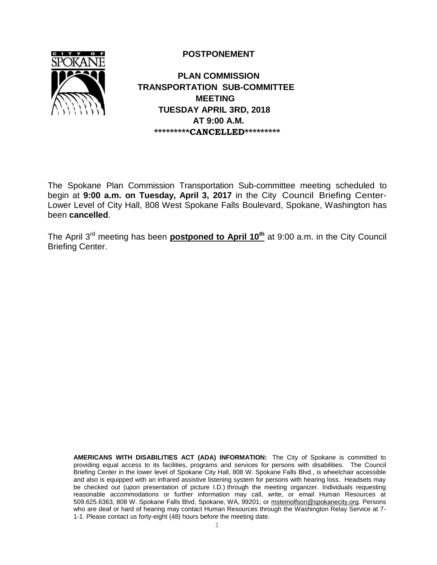**POSTPONEMENT**



 **PLAN COMMISSION TRANSPORTATION SUB-COMMITTEE MEETING TUESDAY APRIL 3RD, 2018 AT 9:00 A.M. \*\*\*\*\*\*\*\*\*CANCELLED\*\*\*\*\*\*\*\*\***

The Spokane Plan Commission Transportation Sub-committee meeting scheduled to begin at **9:00 a.m. on Tuesday, April 3, 2017** in the City Council Briefing Center-Lower Level of City Hall, 808 West Spokane Falls Boulevard, Spokane, Washington has been **cancelled**.

The April 3rd meeting has been **postponed to April 10th** at 9:00 a.m. in the City Council Briefing Center.

**AMERICANS WITH DISABILITIES ACT (ADA) INFORMATION:** The City of Spokane is committed to providing equal access to its facilities, programs and services for persons with disabilities. The Council Briefing Center in the lower level of Spokane City Hall, 808 W. Spokane Falls Blvd., is wheelchair accessible and also is equipped with an infrared assistive listening system for persons with hearing loss. Headsets may be checked out (upon presentation of picture I.D.) through the meeting organizer. Individuals requesting reasonable accommodations or further information may call, write, or email Human Resources at 509.625.6363, 808 W. Spokane Falls Blvd, Spokane, WA, 99201; or [msteinolfson@spokanecity.org.](mailto:msteinolfson@spokanecity.org) Persons who are deaf or hard of hearing may contact Human Resources through the Washington Relay Service at 7-1-1. Please contact us forty-eight (48) hours before the meeting date.